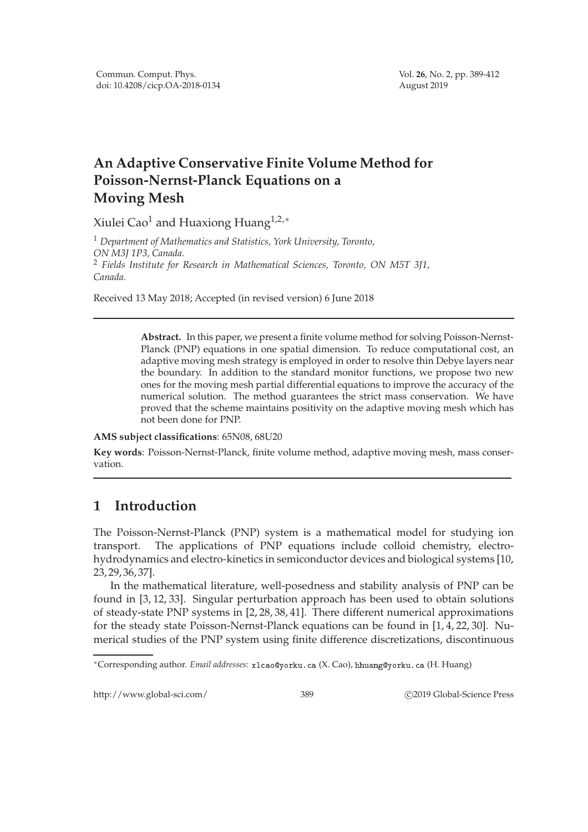## **An Adaptive Conservative Finite Volume Method for Poisson-Nernst-Planck Equations on a Moving Mesh**

Xiulei Cao<sup>1</sup> and Huaxiong Huang<sup>1,2,\*</sup>

<sup>1</sup> *Department of Mathematics and Statistics, York University, Toronto, ON M3J 1P3, Canada.* <sup>2</sup> *Fields Institute for Research in Mathematical Sciences, Toronto, ON M5T 3J1, Canada.*

Received 13 May 2018; Accepted (in revised version) 6 June 2018

**Abstract.** In this paper, we present a finite volume method for solving Poisson-Nernst-Planck (PNP) equations in one spatial dimension. To reduce computational cost, an adaptive moving mesh strategy is employed in order to resolve thin Debye layers near the boundary. In addition to the standard monitor functions, we propose two new ones for the moving mesh partial differential equations to improve the accuracy of the numerical solution. The method guarantees the strict mass conservation. We have proved that the scheme maintains positivity on the adaptive moving mesh which has not been done for PNP.

**AMS subject classifications**: 65N08, 68U20

**Key words**: Poisson-Nernst-Planck, finite volume method, adaptive moving mesh, mass conservation.

## **1 Introduction**

The Poisson-Nernst-Planck (PNP) system is a mathematical model for studying ion transport. The applications of PNP equations include colloid chemistry, electrohydrodynamics and electro-kinetics in semiconductor devices and biological systems [10, 23, 29, 36, 37].

In the mathematical literature, well-posedness and stability analysis of PNP can be found in [3, 12, 33]. Singular perturbation approach has been used to obtain solutions of steady-state PNP systems in [2, 28, 38, 41]. There different numerical approximations for the steady state Poisson-Nernst-Planck equations can be found in [1, 4, 22, 30]. Numerical studies of the PNP system using finite difference discretizations, discontinuous

http://www.global-sci.com/ 389 c 2019 Global-Science Press

<sup>\*</sup>Corresponding author. Email addresses: x1 cao@yorku.ca (X. Cao), hhuang@yorku.ca (H. Huang)